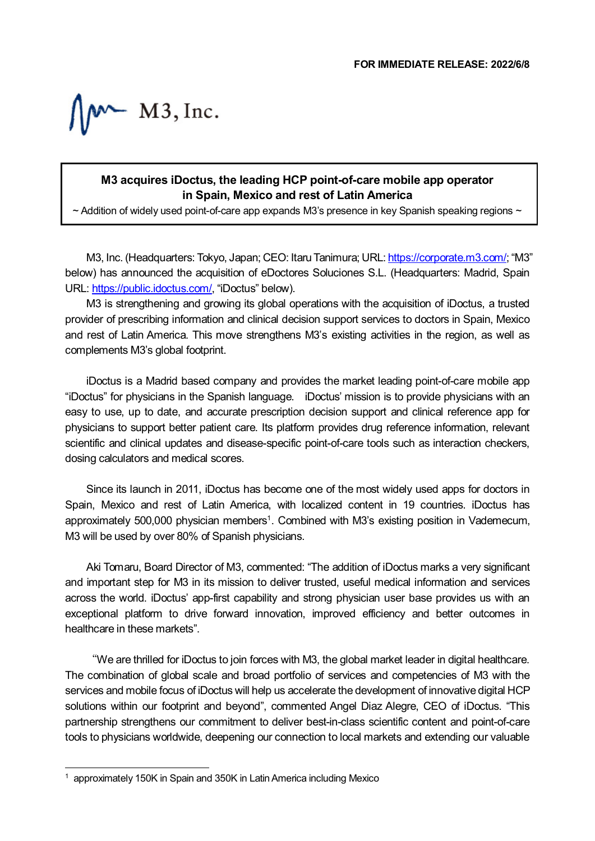$M^*$  M3, Inc.

## **M3 acquires iDoctus, the leading HCP point-of-care mobile app operator in Spain, Mexico and rest of Latin America**

 $\sim$  Addition of widely used point-of-care app expands M3's presence in key Spanish speaking regions  $\sim$ 

M3, Inc. (Headquarters: Tokyo, Japan; CEO: Itaru Tanimura; URL[: https://corporate.m3.com/;](https://corporate.m3.com/) "M3" below) has announced the acquisition of eDoctores Soluciones S.L. (Headquarters: Madrid, Spain URL: [https://public.idoctus.com/,](https://public.idoctus.com/) "iDoctus" below).

M3 is strengthening and growing its global operations with the acquisition of iDoctus, a trusted provider of prescribing information and clinical decision support services to doctors in Spain, Mexico and rest of Latin America. This move strengthens M3's existing activities in the region, as well as complements M3's global footprint.

iDoctus is a Madrid based company and provides the market leading point-of-care mobile app "iDoctus" for physicians in the Spanish language. iDoctus' mission is to provide physicians with an easy to use, up to date, and accurate prescription decision support and clinical reference app for physicians to support better patient care. Its platform provides drug reference information, relevant scientific and clinical updates and disease-specific point-of-care tools such as interaction checkers, dosing calculators and medical scores.

Since its launch in 2011, iDoctus has become one of the most widely used apps for doctors in Spain, Mexico and rest of Latin America, with localized content in 19 countries. iDoctus has approximately 500,000 physician members<sup>1</sup>. Combined with M3's existing position in Vademecum, M3 will be used by over 80% of Spanish physicians.

Aki Tomaru, Board Director of M3, commented: "The addition of iDoctus marks a very significant and important step for M3 in its mission to deliver trusted, useful medical information and services across the world. iDoctus' app-first capability and strong physician user base provides us with an exceptional platform to drive forward innovation, improved efficiency and better outcomes in healthcare in these markets".

"We are thrilled for iDoctus to join forces with M3, the global market leader in digital healthcare. The combination of global scale and broad portfolio of services and competencies of M3 with the services and mobile focus of iDoctus will help us accelerate the development of innovative digital HCP solutions within our footprint and beyond", commented Angel Diaz Alegre, CEO of iDoctus. "This partnership strengthens our commitment to deliver best-in-class scientific content and point-of-care tools to physicians worldwide, deepening our connection to local markets and extending our valuable

ł.

<span id="page-0-0"></span><sup>&</sup>lt;sup>1</sup> approximately 150K in Spain and 350K in Latin America including Mexico